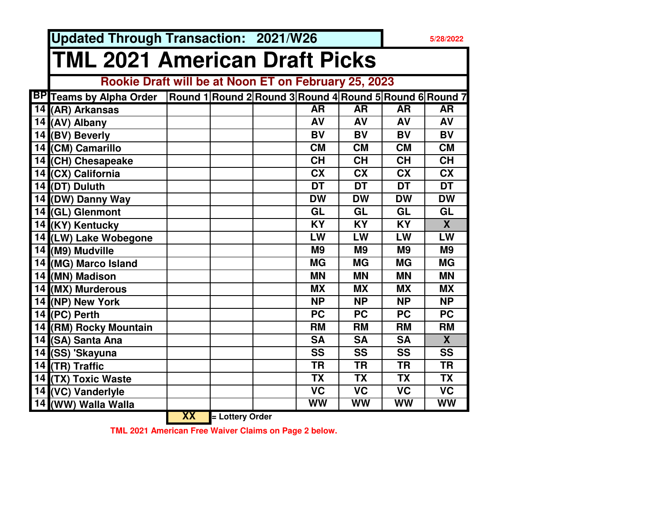**Updated Through Transaction: 2021/W26**

## **5/28/2022**

## **TML 2021 American Draft Picks**

## **Rookie Draft will be at Noon ET on February 25, 2023**

| <b>BP</b> Teams by Alpha Order |      |               | Round 1 Round 2 Round 3 Round 4 Round 5 Round 6 Round 7 |                          |                |                          |
|--------------------------------|------|---------------|---------------------------------------------------------|--------------------------|----------------|--------------------------|
| 14 (AR) Arkansas               |      |               | <b>AR</b>                                               | <b>AR</b>                | <b>AR</b>      | <b>AR</b>                |
| 14 (AV) Albany                 |      |               | AV                                                      | AV                       | AV             | AV                       |
| 14 (BV) Beverly                |      |               | <b>BV</b>                                               | <b>BV</b>                | <b>BV</b>      | <b>BV</b>                |
| 14 (CM) Camarillo              |      |               | <b>CM</b>                                               | <b>CM</b>                | <b>CM</b>      | <b>CM</b>                |
| 14 (CH) Chesapeake             |      |               | <b>CH</b>                                               | <b>CH</b>                | <b>CH</b>      | <b>CH</b>                |
| 14 (CX) California             |      |               | <b>CX</b>                                               | <b>CX</b>                | <b>CX</b>      | <b>CX</b>                |
| 14 (DT) Duluth                 |      |               | <b>DT</b>                                               | <b>DT</b>                | <b>DT</b>      | <b>DT</b>                |
| 14 (DW) Danny Way              |      |               | <b>DW</b>                                               | <b>DW</b>                | <b>DW</b>      | <b>DW</b>                |
| 14 (GL) Glenmont               |      |               | GL                                                      | GL                       | GL             | GL                       |
| 14 (KY) Kentucky               |      |               | <b>KY</b>                                               | <b>KY</b>                | <b>KY</b>      | $\overline{\mathbf{X}}$  |
| 14 (LW) Lake Wobegone          |      |               | LW                                                      | LW                       | LW             | LW                       |
| 14 (M9) Mudville               |      |               | M <sub>9</sub>                                          | M <sub>9</sub>           | M <sub>9</sub> | M <sub>9</sub>           |
| 14 (MG) Marco Island           |      |               | <b>MG</b>                                               | <b>MG</b>                | <b>MG</b>      | <b>MG</b>                |
| 14 (MN) Madison                |      |               | <b>MN</b>                                               | <b>MN</b>                | <b>MN</b>      | <b>MN</b>                |
| 14 (MX) Murderous              |      |               | <b>MX</b>                                               | <b>MX</b>                | <b>MX</b>      | <b>MX</b>                |
| 14 (NP) New York               |      |               | <b>NP</b>                                               | <b>NP</b>                | <b>NP</b>      | <b>NP</b>                |
| $14$ (PC) Perth                |      |               | <b>PC</b>                                               | <b>PC</b>                | <b>PC</b>      | <b>PC</b>                |
| 14 (RM) Rocky Mountain         |      |               | <b>RM</b>                                               | <b>RM</b>                | <b>RM</b>      | <b>RM</b>                |
| 14 (SA) Santa Ana              |      |               | <b>SA</b>                                               | <b>SA</b>                | <b>SA</b>      | $\mathbf{X}$             |
| 14 (SS) 'Skayuna               |      |               | <b>SS</b>                                               | <b>SS</b>                | <b>SS</b>      | <b>SS</b>                |
| 14 $(TR)$ Traffic              |      |               | <b>TR</b>                                               | <b>TR</b>                | <b>TR</b>      | <b>TR</b>                |
| 14 (TX) Toxic Waste            |      |               | <b>TX</b>                                               | <b>TX</b>                | <b>TX</b>      | <b>TX</b>                |
| 14 (VC) Vanderlyle             |      |               | $\overline{\mathsf{VC}}$                                | $\overline{\mathsf{VC}}$ | <b>VC</b>      | $\overline{\mathsf{VC}}$ |
| 14 (WW) Walla Walla            |      |               | <b>WW</b>                                               | <b>WW</b>                | WW             | WW                       |
|                                | VV I | Lattem: Onder |                                                         |                          |                |                          |

**XX= Lottery Order**

 **TML 2021 American Free Waiver Claims on Page 2 below.**